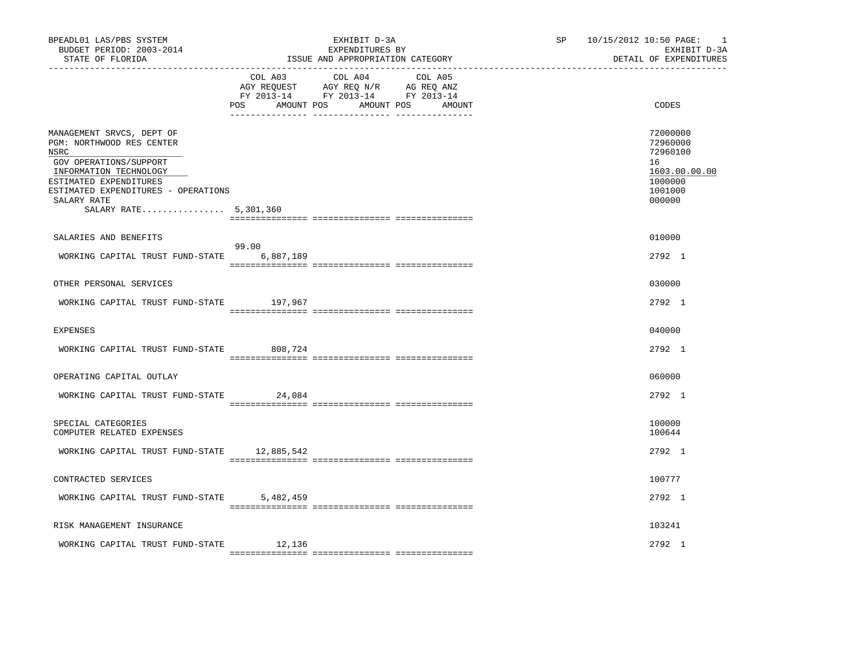| BPEADL01 LAS/PBS SYSTEM<br>BUDGET PERIOD: 2003-2014<br>STATE OF FLORIDA                                                                                                                                                     |                    | EXHIBIT D-3A<br>EXPENDITURES BY<br>ISSUE AND APPROPRIATION CATEGORY                                                               | SP | 10/15/2012 10:50 PAGE:<br>$\overline{\phantom{0}}$<br>EXHIBIT D-3A<br>DETAIL OF EXPENDITURES |
|-----------------------------------------------------------------------------------------------------------------------------------------------------------------------------------------------------------------------------|--------------------|-----------------------------------------------------------------------------------------------------------------------------------|----|----------------------------------------------------------------------------------------------|
|                                                                                                                                                                                                                             | <b>POS</b>         | COL A03 COL A04 COL A05<br>AGY REQUEST AGY REQ N/R AG REQ ANZ<br>FY 2013-14 FY 2013-14 FY 2013-14<br>AMOUNT POS AMOUNT POS AMOUNT |    | CODES                                                                                        |
| MANAGEMENT SRVCS, DEPT OF<br>PGM: NORTHWOOD RES CENTER<br>NSRC<br>GOV OPERATIONS/SUPPORT<br>INFORMATION TECHNOLOGY<br>ESTIMATED EXPENDITURES<br>ESTIMATED EXPENDITURES - OPERATIONS<br>SALARY RATE<br>SALARY RATE 5,301,360 |                    |                                                                                                                                   |    | 72000000<br>72960000<br>72960100<br>16<br>1603.00.00.00<br>1000000<br>1001000<br>000000      |
| SALARIES AND BENEFITS                                                                                                                                                                                                       |                    |                                                                                                                                   |    | 010000                                                                                       |
| WORKING CAPITAL TRUST FUND-STATE                                                                                                                                                                                            | 99.00<br>6,887,189 |                                                                                                                                   |    | 2792 1                                                                                       |
| OTHER PERSONAL SERVICES                                                                                                                                                                                                     |                    |                                                                                                                                   |    | 030000                                                                                       |
| WORKING CAPITAL TRUST FUND-STATE 197,967                                                                                                                                                                                    |                    |                                                                                                                                   |    | 2792 1                                                                                       |
| <b>EXPENSES</b>                                                                                                                                                                                                             |                    |                                                                                                                                   |    | 040000                                                                                       |
| WORKING CAPITAL TRUST FUND-STATE                                                                                                                                                                                            | 808,724            |                                                                                                                                   |    | 2792 1                                                                                       |
| OPERATING CAPITAL OUTLAY                                                                                                                                                                                                    |                    |                                                                                                                                   |    | 060000                                                                                       |
| WORKING CAPITAL TRUST FUND-STATE                                                                                                                                                                                            | 24,084             |                                                                                                                                   |    | 2792 1                                                                                       |
| SPECIAL CATEGORIES<br>COMPUTER RELATED EXPENSES                                                                                                                                                                             |                    |                                                                                                                                   |    | 100000<br>100644                                                                             |
| WORKING CAPITAL TRUST FUND-STATE 12,885,542                                                                                                                                                                                 |                    |                                                                                                                                   |    | 2792 1                                                                                       |
| CONTRACTED SERVICES                                                                                                                                                                                                         |                    |                                                                                                                                   |    | 100777                                                                                       |
| WORKING CAPITAL TRUST FUND-STATE                                                                                                                                                                                            | 5,482,459          |                                                                                                                                   |    | 2792 1                                                                                       |
| RISK MANAGEMENT INSURANCE                                                                                                                                                                                                   |                    |                                                                                                                                   |    | 103241                                                                                       |
| WORKING CAPITAL TRUST FUND-STATE                                                                                                                                                                                            | 12,136             |                                                                                                                                   |    | $2792 \quad 1$                                                                               |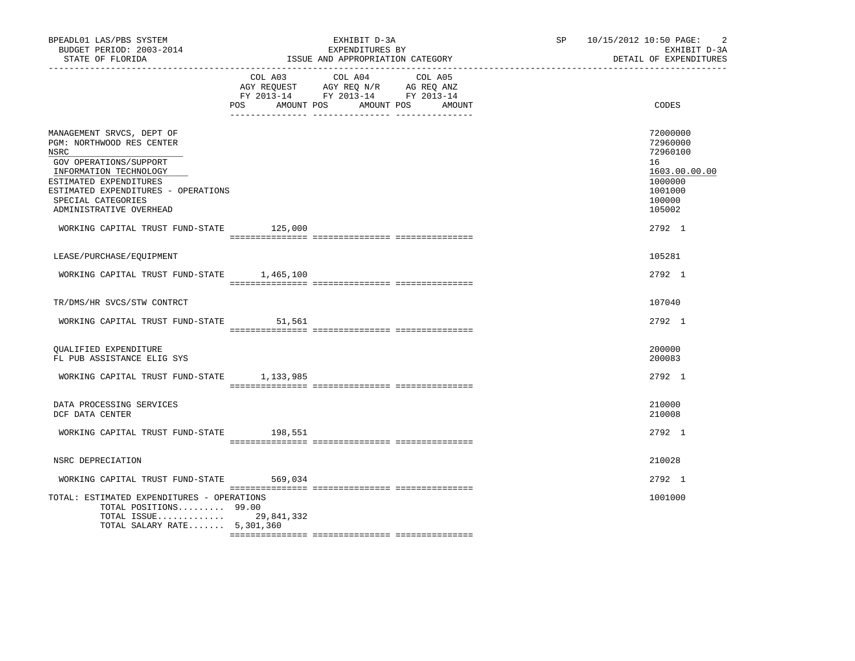| BPEADL01 LAS/PBS SYSTEM<br>BUDGET PERIOD: 2003-2014<br>STATE OF FLORIDA                                                                                                                                                              |                                                                                                                     | EXHIBIT D-3A<br>EXPENDITURES BY<br>ISSUE AND APPROPRIATION CATEGORY | SP and the set of the set of the set of the set of the set of the set of the set of the set of the set of the set of the set of the set of the set of the set of the set of the set of the set of the set of the set of the se | $\overline{2}$<br>10/15/2012 10:50 PAGE:<br>EXHIBIT D-3A<br>DETAIL OF EXPENDITURES                |  |
|--------------------------------------------------------------------------------------------------------------------------------------------------------------------------------------------------------------------------------------|---------------------------------------------------------------------------------------------------------------------|---------------------------------------------------------------------|--------------------------------------------------------------------------------------------------------------------------------------------------------------------------------------------------------------------------------|---------------------------------------------------------------------------------------------------|--|
|                                                                                                                                                                                                                                      | COL A03 COL A04 COL A05<br>AGY REQUEST AGY REQ N/R AG REQ ANZ<br>FY 2013-14 FY 2013-14 FY 2013-14<br>POS AMOUNT POS | AMOUNT POS<br>AMOUNT                                                |                                                                                                                                                                                                                                | CODES                                                                                             |  |
| MANAGEMENT SRVCS, DEPT OF<br>PGM: NORTHWOOD RES CENTER<br>NSRC<br>GOV OPERATIONS/SUPPORT<br>INFORMATION TECHNOLOGY<br>ESTIMATED EXPENDITURES<br>ESTIMATED EXPENDITURES - OPERATIONS<br>SPECIAL CATEGORIES<br>ADMINISTRATIVE OVERHEAD |                                                                                                                     |                                                                     |                                                                                                                                                                                                                                | 72000000<br>72960000<br>72960100<br>16<br>1603.00.00.00<br>1000000<br>1001000<br>100000<br>105002 |  |
| WORKING CAPITAL TRUST FUND-STATE 125,000                                                                                                                                                                                             |                                                                                                                     |                                                                     |                                                                                                                                                                                                                                | 2792 1                                                                                            |  |
| LEASE/PURCHASE/EOUIPMENT                                                                                                                                                                                                             |                                                                                                                     |                                                                     |                                                                                                                                                                                                                                | 105281                                                                                            |  |
| WORKING CAPITAL TRUST FUND-STATE 1,465,100                                                                                                                                                                                           |                                                                                                                     |                                                                     |                                                                                                                                                                                                                                | 2792 1                                                                                            |  |
| TR/DMS/HR SVCS/STW CONTRCT                                                                                                                                                                                                           |                                                                                                                     |                                                                     |                                                                                                                                                                                                                                | 107040                                                                                            |  |
| WORKING CAPITAL TRUST FUND-STATE                                                                                                                                                                                                     | 51,561                                                                                                              |                                                                     |                                                                                                                                                                                                                                | 2792 1                                                                                            |  |
| OUALIFIED EXPENDITURE<br>FL PUB ASSISTANCE ELIG SYS                                                                                                                                                                                  |                                                                                                                     |                                                                     |                                                                                                                                                                                                                                | 200000<br>200083                                                                                  |  |
| WORKING CAPITAL TRUST FUND-STATE 1,133,985                                                                                                                                                                                           |                                                                                                                     |                                                                     |                                                                                                                                                                                                                                | 2792 1                                                                                            |  |
| DATA PROCESSING SERVICES<br>DCF DATA CENTER                                                                                                                                                                                          |                                                                                                                     |                                                                     |                                                                                                                                                                                                                                | 210000<br>210008                                                                                  |  |
| WORKING CAPITAL TRUST FUND-STATE 198,551                                                                                                                                                                                             |                                                                                                                     |                                                                     |                                                                                                                                                                                                                                | 2792 1                                                                                            |  |
| NSRC DEPRECIATION                                                                                                                                                                                                                    |                                                                                                                     |                                                                     |                                                                                                                                                                                                                                | 210028                                                                                            |  |
| WORKING CAPITAL TRUST FUND-STATE 569,034                                                                                                                                                                                             |                                                                                                                     |                                                                     |                                                                                                                                                                                                                                | 2792 1                                                                                            |  |
| TOTAL: ESTIMATED EXPENDITURES - OPERATIONS<br>TOTAL POSITIONS 99.00<br>TOTAL ISSUE 29,841,332<br>TOTAL SALARY RATE 5,301,360                                                                                                         |                                                                                                                     |                                                                     |                                                                                                                                                                                                                                | 1001000                                                                                           |  |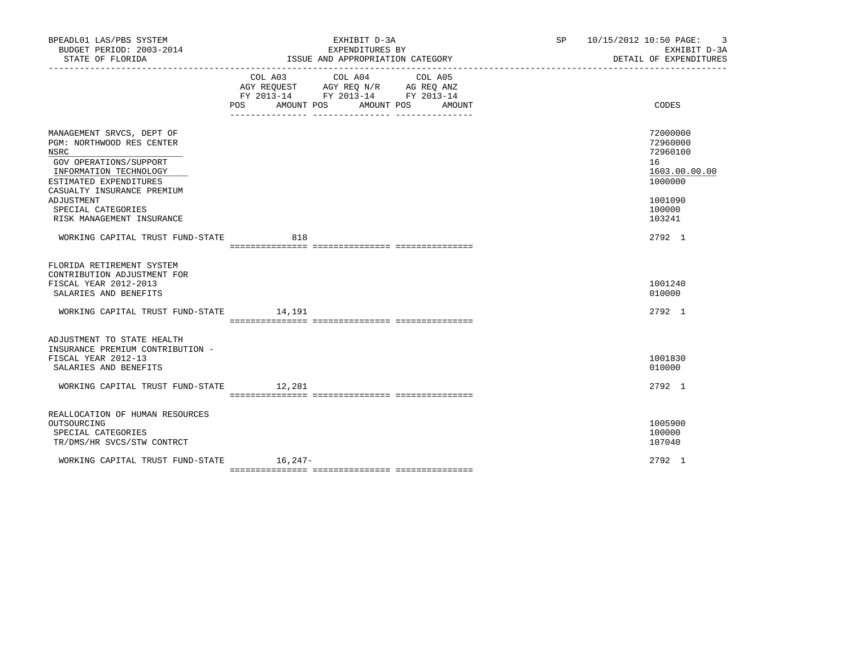| BPEADL01 LAS/PBS SYSTEM<br>BUDGET PERIOD: 2003-2014<br>STATE OF FLORIDA                                        | EXHIBIT D-3A<br>EXPENDITURES BY<br>ISSUE AND APPROPRIATION CATEGORY |                                                                                                                                       | SP 10/15/2012 10:50 PAGE: 3<br>EXHIBIT D-3A<br>DETAIL OF EXPENDITURES |                                  |
|----------------------------------------------------------------------------------------------------------------|---------------------------------------------------------------------|---------------------------------------------------------------------------------------------------------------------------------------|-----------------------------------------------------------------------|----------------------------------|
|                                                                                                                |                                                                     | COL A03 COL A04 COL A05<br>AGY REQUEST AGY REQ N/R AG REQ ANZ<br>FY 2013-14 FY 2013-14 FY 2013-14<br>POS AMOUNT POS AMOUNT POS AMOUNT |                                                                       | CODES                            |
| MANAGEMENT SRVCS, DEPT OF<br><b>PGM: NORTHWOOD RES CENTER</b><br>NSRC                                          |                                                                     |                                                                                                                                       |                                                                       | 72000000<br>72960000<br>72960100 |
| GOV OPERATIONS/SUPPORT<br>INFORMATION TECHNOLOGY<br>ESTIMATED EXPENDITURES                                     |                                                                     |                                                                                                                                       |                                                                       | 16<br>1603.00.00.00<br>1000000   |
| CASUALTY INSURANCE PREMIUM<br>ADJUSTMENT<br>SPECIAL CATEGORIES<br>RISK MANAGEMENT INSURANCE                    |                                                                     |                                                                                                                                       |                                                                       | 1001090<br>100000<br>103241      |
| WORKING CAPITAL TRUST FUND-STATE 618                                                                           |                                                                     |                                                                                                                                       |                                                                       | 2792 1                           |
| FLORIDA RETIREMENT SYSTEM<br>CONTRIBUTION ADJUSTMENT FOR<br>FISCAL YEAR 2012-2013<br>SALARIES AND BENEFITS     |                                                                     |                                                                                                                                       |                                                                       | 1001240<br>010000                |
| WORKING CAPITAL TRUST FUND-STATE 14,191                                                                        |                                                                     |                                                                                                                                       |                                                                       | 2792 1                           |
| ADJUSTMENT TO STATE HEALTH<br>INSURANCE PREMIUM CONTRIBUTION -<br>FISCAL YEAR 2012-13<br>SALARIES AND BENEFITS |                                                                     |                                                                                                                                       |                                                                       | 1001830<br>010000                |
| WORKING CAPITAL TRUST FUND-STATE 12,281                                                                        |                                                                     |                                                                                                                                       |                                                                       | 2792 1                           |
| REALLOCATION OF HUMAN RESOURCES<br>OUTSOURCING<br>SPECIAL CATEGORIES<br>TR/DMS/HR SVCS/STW CONTRCT             |                                                                     |                                                                                                                                       |                                                                       | 1005900<br>100000<br>107040      |
| WORKING CAPITAL TRUST FUND-STATE 16,247-                                                                       |                                                                     |                                                                                                                                       |                                                                       | 2792 1                           |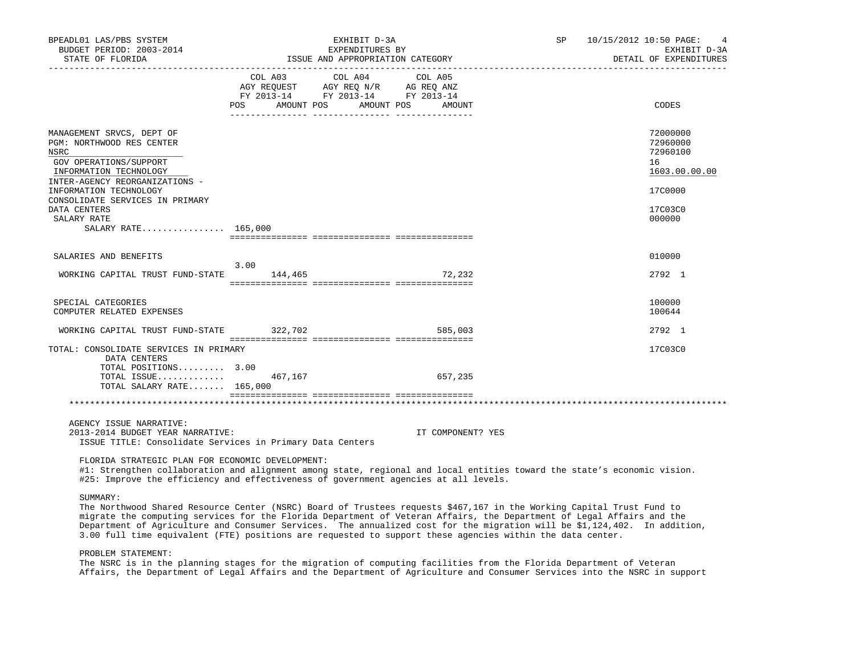| BPEADL01 LAS/PBS SYSTEM<br>BUDGET PERIOD: 2003-2014<br>STATE OF FLORIDA                                                                              | EXHIBIT D-3A<br>EXPENDITURES BY<br>ISSUE AND APPROPRIATION CATEGORY |                                                                                                                                                                                                                                          |  |  |                   | SP 10/15/2012 10:50 PAGE: | 4<br>EXHIBIT D-3A<br>DETAIL OF EXPENDITURES             |
|------------------------------------------------------------------------------------------------------------------------------------------------------|---------------------------------------------------------------------|------------------------------------------------------------------------------------------------------------------------------------------------------------------------------------------------------------------------------------------|--|--|-------------------|---------------------------|---------------------------------------------------------|
|                                                                                                                                                      |                                                                     | COL A03 COL A04 COL A05<br>$\begin{tabular}{lllllll} \bf AGY \,\, REQUEST \,\, &\bf AGY \,\, REQ \,\, N/R &\bf AG \,\, REQ \,\, ANZ \\ \bf FY \,\, 2013-14 &\bf FY \,\, 2013-14 &\bf FY \,\, 2013-14 \\ \end{tabular}$<br>POS AMOUNT POS |  |  | AMOUNT POS AMOUNT |                           | CODES                                                   |
| MANAGEMENT SRVCS, DEPT OF<br>PGM: NORTHWOOD RES CENTER<br>NSRC<br>GOV OPERATIONS/SUPPORT<br>INFORMATION TECHNOLOGY<br>INTER-AGENCY REORGANIZATIONS - |                                                                     |                                                                                                                                                                                                                                          |  |  |                   |                           | 72000000<br>72960000<br>72960100<br>16<br>1603.00.00.00 |
| INFORMATION TECHNOLOGY<br>CONSOLIDATE SERVICES IN PRIMARY<br>DATA CENTERS<br>SALARY RATE<br>SALARY RATE 165,000                                      |                                                                     |                                                                                                                                                                                                                                          |  |  |                   |                           | 17C0000<br>17C03C0<br>000000                            |
| SALARIES AND BENEFITS                                                                                                                                | 3.00                                                                |                                                                                                                                                                                                                                          |  |  |                   |                           | 010000                                                  |
| WORKING CAPITAL TRUST FUND-STATE                                                                                                                     | 144,465                                                             |                                                                                                                                                                                                                                          |  |  | 72,232            |                           | 2792 1                                                  |
| SPECIAL CATEGORIES<br>COMPUTER RELATED EXPENSES                                                                                                      |                                                                     |                                                                                                                                                                                                                                          |  |  |                   |                           | 100000<br>100644                                        |
| WORKING CAPITAL TRUST FUND-STATE 322,702                                                                                                             |                                                                     |                                                                                                                                                                                                                                          |  |  | 585,003           |                           | 2792 1                                                  |
| TOTAL: CONSOLIDATE SERVICES IN PRIMARY<br>DATA CENTERS                                                                                               |                                                                     |                                                                                                                                                                                                                                          |  |  |                   |                           | 17C03C0                                                 |
| TOTAL POSITIONS 3.00<br>TOTAL ISSUE<br>TOTAL SALARY RATE $165,000$                                                                                   |                                                                     | 467,167                                                                                                                                                                                                                                  |  |  | 657,235           |                           |                                                         |
|                                                                                                                                                      |                                                                     |                                                                                                                                                                                                                                          |  |  |                   |                           |                                                         |
| AGENCY ISSUE NARRATIVE:                                                                                                                              |                                                                     |                                                                                                                                                                                                                                          |  |  |                   |                           |                                                         |

 2013-2014 BUDGET YEAR NARRATIVE: IT COMPONENT? YES ISSUE TITLE: Consolidate Services in Primary Data Centers

FLORIDA STRATEGIC PLAN FOR ECONOMIC DEVELOPMENT:

 #1: Strengthen collaboration and alignment among state, regional and local entities toward the state's economic vision. #25: Improve the efficiency and effectiveness of government agencies at all levels.

## SUMMARY:

 The Northwood Shared Resource Center (NSRC) Board of Trustees requests \$467,167 in the Working Capital Trust Fund to migrate the computing services for the Florida Department of Veteran Affairs, the Department of Legal Affairs and the Department of Agriculture and Consumer Services. The annualized cost for the migration will be \$1,124,402. In addition, 3.00 full time equivalent (FTE) positions are requested to support these agencies within the data center.

# PROBLEM STATEMENT:

 The NSRC is in the planning stages for the migration of computing facilities from the Florida Department of Veteran Affairs, the Department of Legal Affairs and the Department of Agriculture and Consumer Services into the NSRC in support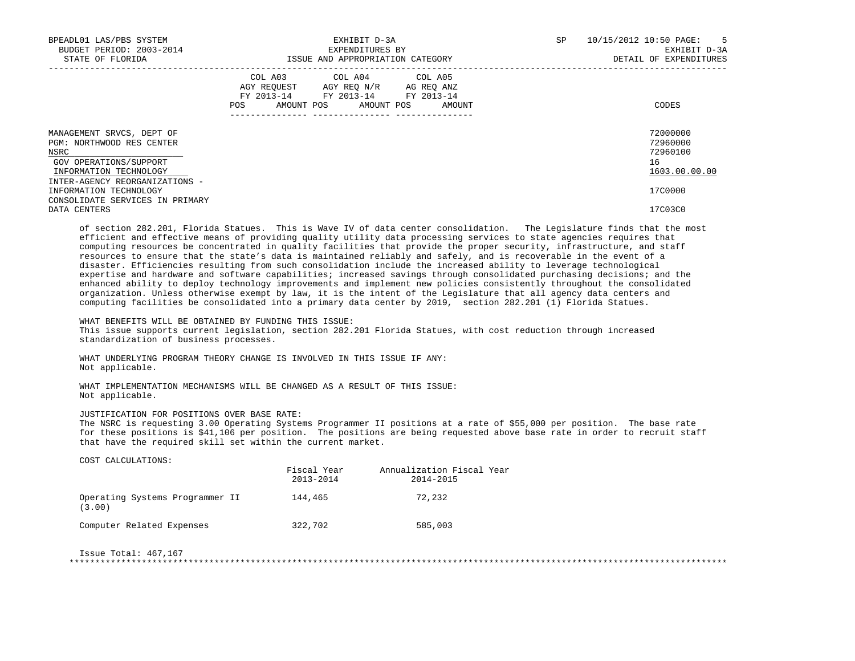| BPEADL01 LAS/PBS SYSTEM<br>BUDGET PERIOD: 2003-2014<br>STATE OF FLORIDA                                            | EXHIBIT D-3A<br>EXPENDITURES BY<br>ISSUE AND APPROPRIATION CATEGORY                                                                   | SP | 10/15/2012 10:50 PAGE:<br>$\overline{5}$<br>EXHIBIT D-3A<br>DETAIL OF EXPENDITURES |                                                         |
|--------------------------------------------------------------------------------------------------------------------|---------------------------------------------------------------------------------------------------------------------------------------|----|------------------------------------------------------------------------------------|---------------------------------------------------------|
|                                                                                                                    | COL A03 COL A04 COL A05<br>AGY REQUEST AGY REQ N/R AG REQ ANZ<br>FY 2013-14 FY 2013-14 FY 2013-14<br>POS AMOUNT POS AMOUNT POS AMOUNT |    |                                                                                    | CODES                                                   |
| MANAGEMENT SRVCS, DEPT OF<br>PGM: NORTHWOOD RES CENTER<br>NSRC<br>GOV OPERATIONS/SUPPORT<br>INFORMATION TECHNOLOGY |                                                                                                                                       |    |                                                                                    | 72000000<br>72960000<br>72960100<br>16<br>1603.00.00.00 |
| INTER-AGENCY REORGANIZATIONS -<br>INFORMATION TECHNOLOGY<br>CONSOLIDATE SERVICES IN PRIMARY<br>DATA CENTERS        |                                                                                                                                       |    |                                                                                    | 17C0000<br>17C03C0                                      |
|                                                                                                                    |                                                                                                                                       |    |                                                                                    |                                                         |

 of section 282.201, Florida Statues. This is Wave IV of data center consolidation. The Legislature finds that the most efficient and effective means of providing quality utility data processing services to state agencies requires that computing resources be concentrated in quality facilities that provide the proper security, infrastructure, and staff resources to ensure that the state's data is maintained reliably and safely, and is recoverable in the event of a disaster. Efficiencies resulting from such consolidation include the increased ability to leverage technological expertise and hardware and software capabilities; increased savings through consolidated purchasing decisions; and the enhanced ability to deploy technology improvements and implement new policies consistently throughout the consolidated organization. Unless otherwise exempt by law, it is the intent of the Legislature that all agency data centers and computing facilities be consolidated into a primary data center by 2019, section 282.201 (1) Florida Statues.

 WHAT BENEFITS WILL BE OBTAINED BY FUNDING THIS ISSUE: This issue supports current legislation, section 282.201 Florida Statues, with cost reduction through increased standardization of business processes.

 WHAT UNDERLYING PROGRAM THEORY CHANGE IS INVOLVED IN THIS ISSUE IF ANY: Not applicable.

 WHAT IMPLEMENTATION MECHANISMS WILL BE CHANGED AS A RESULT OF THIS ISSUE: Not applicable.

### JUSTIFICATION FOR POSITIONS OVER BASE RATE:

 The NSRC is requesting 3.00 Operating Systems Programmer II positions at a rate of \$55,000 per position. The base rate for these positions is \$41,106 per position. The positions are being requested above base rate in order to recruit staff that have the required skill set within the current market.

COST CALCULATIONS:

|                                           | Fiscal Year<br>$2013 - 2014$ | Annualization Fiscal Year<br>2014-2015 |
|-------------------------------------------|------------------------------|----------------------------------------|
| Operating Systems Programmer II<br>(3.00) | 144,465                      | 72,232                                 |
| Computer Related Expenses                 | 322,702                      | 585,003                                |

Issue Total: 467,167

\*\*\*\*\*\*\*\*\*\*\*\*\*\*\*\*\*\*\*\*\*\*\*\*\*\*\*\*\*\*\*\*\*\*\*\*\*\*\*\*\*\*\*\*\*\*\*\*\*\*\*\*\*\*\*\*\*\*\*\*\*\*\*\*\*\*\*\*\*\*\*\*\*\*\*\*\*\*\*\*\*\*\*\*\*\*\*\*\*\*\*\*\*\*\*\*\*\*\*\*\*\*\*\*\*\*\*\*\*\*\*\*\*\*\*\*\*\*\*\*\*\*\*\*\*\*\*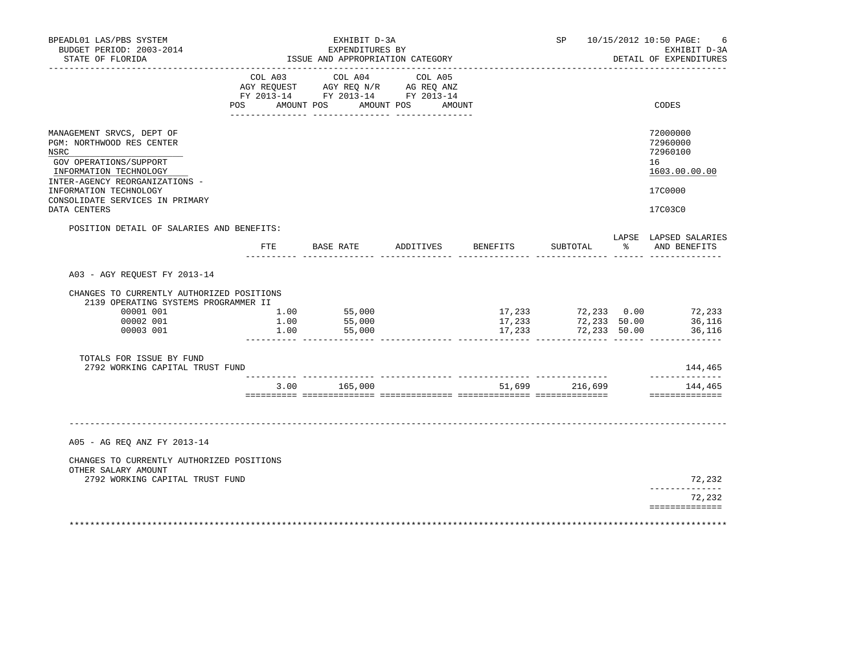| BPEADL01 LAS/PBS SYSTEM<br>BUDGET PERIOD: 2003-2014<br>STATE OF FLORIDA                                                  | EXHIBIT D-3A<br>EXPENDITURES BY<br>ISSUE AND APPROPRIATION CATEGORY |                                                                                                                                       |           |                            |                                             |               | SP 10/15/2012 10:50 PAGE:<br>6<br>EXHIBIT D-3A<br>DETAIL OF EXPENDITURES |  |
|--------------------------------------------------------------------------------------------------------------------------|---------------------------------------------------------------------|---------------------------------------------------------------------------------------------------------------------------------------|-----------|----------------------------|---------------------------------------------|---------------|--------------------------------------------------------------------------|--|
|                                                                                                                          |                                                                     | COL A03 COL A04 COL A05<br>AGY REQUEST AGY REQ N/R AG REQ ANZ<br>FY 2013-14 FY 2013-14 FY 2013-14<br>POS AMOUNT POS AMOUNT POS AMOUNT |           |                            |                                             |               | CODES                                                                    |  |
|                                                                                                                          |                                                                     |                                                                                                                                       |           |                            |                                             |               |                                                                          |  |
| MANAGEMENT SRVCS, DEPT OF<br>PGM: NORTHWOOD RES CENTER<br>NSRC<br>GOV OPERATIONS/SUPPORT<br>INFORMATION TECHNOLOGY       |                                                                     |                                                                                                                                       |           |                            |                                             |               | 72000000<br>72960000<br>72960100<br>16<br>1603.00.00.00                  |  |
| INTER-AGENCY REORGANIZATIONS -<br>INFORMATION TECHNOLOGY                                                                 |                                                                     |                                                                                                                                       |           |                            |                                             |               | 17C0000                                                                  |  |
| CONSOLIDATE SERVICES IN PRIMARY<br>DATA CENTERS                                                                          |                                                                     |                                                                                                                                       |           |                            |                                             |               | 17C03C0                                                                  |  |
| POSITION DETAIL OF SALARIES AND BENEFITS:                                                                                |                                                                     |                                                                                                                                       |           |                            |                                             |               |                                                                          |  |
|                                                                                                                          | $_{\rm FTE}$                                                        | BASE RATE                                                                                                                             | ADDITIVES | BENEFITS                   | SUBTOTAL                                    | $\frac{1}{6}$ | LAPSE LAPSED SALARIES<br>AND BENEFITS                                    |  |
| CHANGES TO CURRENTLY AUTHORIZED POSITIONS<br>2139 OPERATING SYSTEMS PROGRAMMER II<br>00001 001<br>00002 001<br>00003 001 | 1.00<br>1.00<br>1.00                                                | 55,000<br>55,000<br>55,000                                                                                                            |           | 17,233<br>17,233<br>17,233 | 72,233 0.00<br>72,233 50.00<br>72,233 50.00 |               | 72,233<br>36,116<br>36,116                                               |  |
| TOTALS FOR ISSUE BY FUND<br>2792 WORKING CAPITAL TRUST FUND                                                              |                                                                     |                                                                                                                                       |           |                            |                                             |               | 144,465                                                                  |  |
|                                                                                                                          |                                                                     | 3.00 165,000                                                                                                                          |           |                            | 51,699 216,699                              |               | ______________<br>144,465                                                |  |
|                                                                                                                          |                                                                     |                                                                                                                                       |           |                            |                                             |               |                                                                          |  |
| A05 - AG REQ ANZ FY 2013-14                                                                                              |                                                                     |                                                                                                                                       |           |                            |                                             |               |                                                                          |  |
| CHANGES TO CURRENTLY AUTHORIZED POSITIONS<br>OTHER SALARY AMOUNT                                                         |                                                                     |                                                                                                                                       |           |                            |                                             |               |                                                                          |  |
| 2792 WORKING CAPITAL TRUST FUND                                                                                          |                                                                     |                                                                                                                                       |           |                            |                                             |               | 72,232<br>______________                                                 |  |
|                                                                                                                          |                                                                     |                                                                                                                                       |           |                            |                                             |               | 72,232<br>==============                                                 |  |
|                                                                                                                          |                                                                     |                                                                                                                                       |           |                            |                                             |               |                                                                          |  |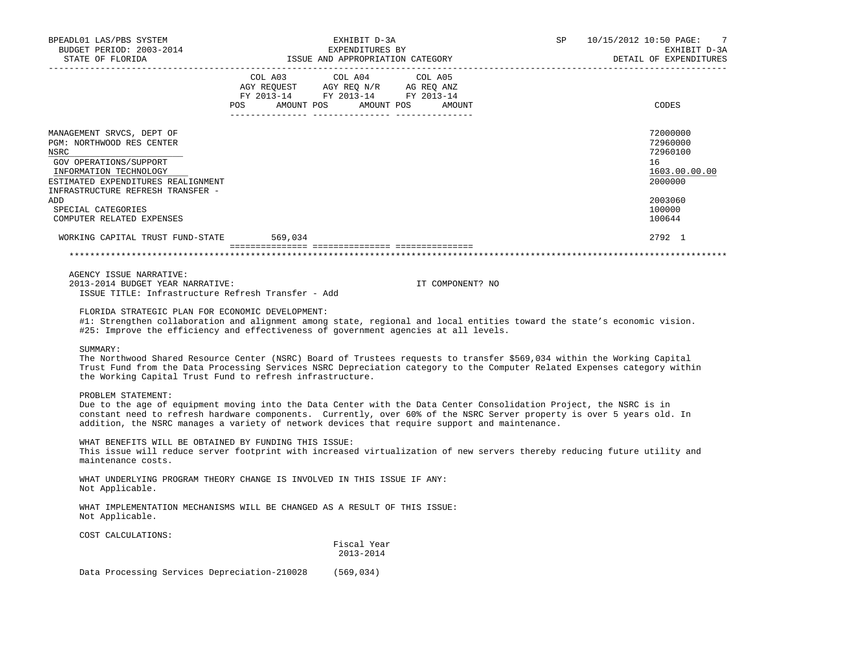| BPEADL01 LAS/PBS SYSTEM<br>BUDGET PERIOD: 2003-2014<br>STATE OF FLORIDA                                                                                                                              | EXHIBIT D-3A<br>EXPENDITURES BY<br>ISSUE AND APPROPRIATION CATEGORY                                                                                                                                                                                                                                                                                                                                                                                                         | <b>SP</b><br>10/15/2012 10:50 PAGE:<br>-7<br>EXHIBIT D-3A<br>DETAIL OF EXPENDITURES |
|------------------------------------------------------------------------------------------------------------------------------------------------------------------------------------------------------|-----------------------------------------------------------------------------------------------------------------------------------------------------------------------------------------------------------------------------------------------------------------------------------------------------------------------------------------------------------------------------------------------------------------------------------------------------------------------------|-------------------------------------------------------------------------------------|
|                                                                                                                                                                                                      | $\begin{tabular}{lllllllllll} &\multicolumn{4}{c}{\text{COL A03}} &\multicolumn{4}{c}{\text{COL A04}} &\multicolumn{4}{c}{\text{COL A05}}\\ \text{AGY REQUEST} &\multicolumn{4}{c}{\text{AGY REQ}} &\multicolumn{4}{c}{\text{N/T}} &\multicolumn{4}{c}{\text{AG REQ ANZ}}\\ \text{FY 2013--14} &\multicolumn{4}{c}{\text{FY 2013--14}} &\multicolumn{4}{c}{\text{FY 2013--14}} &\multicolumn{4}{c}{\text{FY 2013--14}}\\ \end{tabular}$<br>POS AMOUNT POS AMOUNT POS AMOUNT | CODES                                                                               |
| MANAGEMENT SRVCS, DEPT OF<br>PGM: NORTHWOOD RES CENTER<br>NSRC<br>GOV OPERATIONS/SUPPORT<br>INFORMATION TECHNOLOGY<br>ESTIMATED EXPENDITURES REALIGNMENT<br>INFRASTRUCTURE REFRESH TRANSFER -<br>ADD |                                                                                                                                                                                                                                                                                                                                                                                                                                                                             | 72000000<br>72960000<br>72960100<br>16<br>1603.00.00.00<br>2000000<br>2003060       |
| SPECIAL CATEGORIES<br>COMPUTER RELATED EXPENSES                                                                                                                                                      |                                                                                                                                                                                                                                                                                                                                                                                                                                                                             | 100000<br>100644                                                                    |
| WORKING CAPITAL TRUST FUND-STATE                                                                                                                                                                     | 569,034                                                                                                                                                                                                                                                                                                                                                                                                                                                                     | 2792 1                                                                              |
|                                                                                                                                                                                                      |                                                                                                                                                                                                                                                                                                                                                                                                                                                                             |                                                                                     |
| AGENCY ISSUE NARRATIVE:<br>2013-2014 BUDGET YEAR NARRATIVE:<br>ISSUE TITLE: Infrastructure Refresh Transfer - Add<br>FLORIDA STRATEGIC PLAN FOR ECONOMIC DEVELOPMENT:                                | IT COMPONENT? NO<br>#1: Strengthen collaboration and alignment among state, regional and local entities toward the state's economic vision.<br>#25: Improve the efficiency and effectiveness of government agencies at all levels.                                                                                                                                                                                                                                          |                                                                                     |
| SUMMARY:                                                                                                                                                                                             | The Northwood Shared Resource Center (NSRC) Board of Trustees requests to transfer \$569,034 within the Working Capital<br>Trust Fund from the Data Processing Services NSRC Depreciation category to the Computer Related Expenses category within<br>the Working Capital Trust Fund to refresh infrastructure.                                                                                                                                                            |                                                                                     |
| PROBLEM STATEMENT:                                                                                                                                                                                   | Due to the age of equipment moving into the Data Center with the Data Center Consolidation Project, the NSRC is in<br>constant need to refresh hardware components. Currently, over 60% of the NSRC Server property is over 5 years old. In<br>addition, the NSRC manages a variety of network devices that require support and maintenance.                                                                                                                                |                                                                                     |
| WHAT BENEFITS WILL BE OBTAINED BY FUNDING THIS ISSUE:<br>maintenance costs.                                                                                                                          | This issue will reduce server footprint with increased virtualization of new servers thereby reducing future utility and                                                                                                                                                                                                                                                                                                                                                    |                                                                                     |
| Not Applicable.                                                                                                                                                                                      | WHAT UNDERLYING PROGRAM THEORY CHANGE IS INVOLVED IN THIS ISSUE IF ANY:                                                                                                                                                                                                                                                                                                                                                                                                     |                                                                                     |
| Not Applicable.                                                                                                                                                                                      | WHAT IMPLEMENTATION MECHANISMS WILL BE CHANGED AS A RESULT OF THIS ISSUE:                                                                                                                                                                                                                                                                                                                                                                                                   |                                                                                     |
| COST CALCULATIONS:                                                                                                                                                                                   |                                                                                                                                                                                                                                                                                                                                                                                                                                                                             |                                                                                     |
|                                                                                                                                                                                                      | Fiscal Year<br>2013-2014                                                                                                                                                                                                                                                                                                                                                                                                                                                    |                                                                                     |
|                                                                                                                                                                                                      | Data Processing Services Depreciation-210028 (569,034)                                                                                                                                                                                                                                                                                                                                                                                                                      |                                                                                     |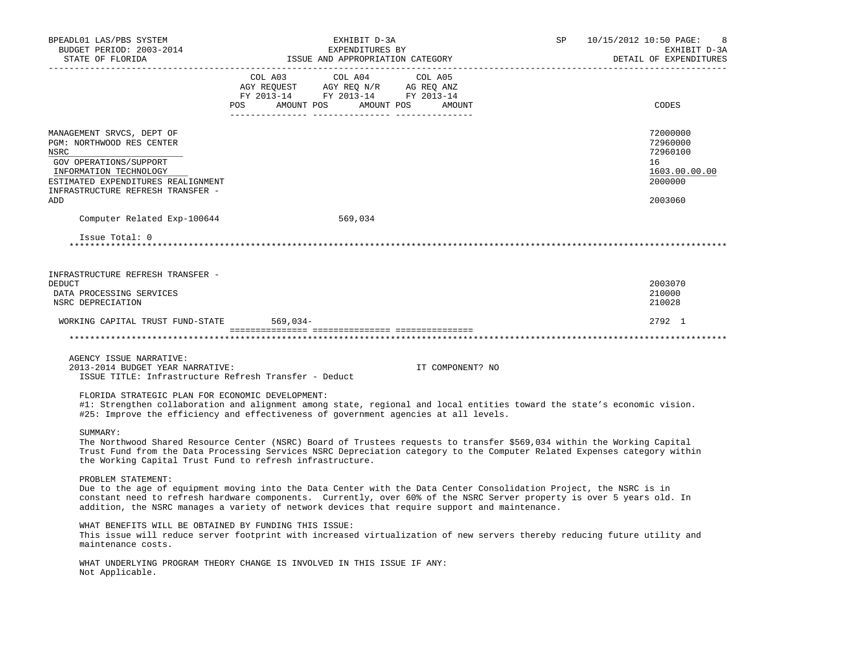| BPEADL01 LAS/PBS SYSTEM<br>BUDGET PERIOD: 2003-2014<br>STATE OF FLORIDA                                                                                                                                     | EXHIBIT D-3A<br>EXPENDITURES BY<br>ISSUE AND APPROPRIATION CATEGORY                                                                                                                                                                                                                                                                          | SP               | 10/15/2012 10:50 PAGE:<br>8<br>EXHIBIT D-3A<br>DETAIL OF EXPENDITURES         |
|-------------------------------------------------------------------------------------------------------------------------------------------------------------------------------------------------------------|----------------------------------------------------------------------------------------------------------------------------------------------------------------------------------------------------------------------------------------------------------------------------------------------------------------------------------------------|------------------|-------------------------------------------------------------------------------|
|                                                                                                                                                                                                             | COL A03<br>COL A04<br>COL A05<br>COLORS COLORS COLORS AGRICULATION AND MANY REQUEST AGY REQ AND AGRICULATION AND MANY AGRICULATION AND MANY AGRICULATION AND A SALE AND A SALE AND A SALE AND A SALE AND A SALE AND A SALE AND A SALE AND A SALE AND A SALE AND<br>POS AMOUNT POS AMOUNT POS AMOUNT                                          |                  | CODES                                                                         |
| MANAGEMENT SRVCS, DEPT OF<br>PGM: NORTHWOOD RES CENTER<br>NSRC<br>GOV OPERATIONS/SUPPORT<br>INFORMATION TECHNOLOGY<br>ESTIMATED EXPENDITURES REALIGNMENT<br>INFRASTRUCTURE REFRESH TRANSFER -<br><b>ADD</b> |                                                                                                                                                                                                                                                                                                                                              |                  | 72000000<br>72960000<br>72960100<br>16<br>1603.00.00.00<br>2000000<br>2003060 |
| Computer Related Exp-100644                                                                                                                                                                                 | 569,034                                                                                                                                                                                                                                                                                                                                      |                  |                                                                               |
| Issue Total: 0                                                                                                                                                                                              |                                                                                                                                                                                                                                                                                                                                              |                  |                                                                               |
| INFRASTRUCTURE REFRESH TRANSFER -<br>DEDUCT<br>DATA PROCESSING SERVICES<br>NSRC DEPRECIATION                                                                                                                |                                                                                                                                                                                                                                                                                                                                              |                  | 2003070<br>210000<br>210028                                                   |
| WORKING CAPITAL TRUST FUND-STATE 569,034-                                                                                                                                                                   |                                                                                                                                                                                                                                                                                                                                              |                  | 2792 1                                                                        |
|                                                                                                                                                                                                             |                                                                                                                                                                                                                                                                                                                                              |                  |                                                                               |
| AGENCY ISSUE NARRATIVE:<br>2013-2014 BUDGET YEAR NARRATIVE:<br>ISSUE TITLE: Infrastructure Refresh Transfer - Deduct                                                                                        |                                                                                                                                                                                                                                                                                                                                              | IT COMPONENT? NO |                                                                               |
| FLORIDA STRATEGIC PLAN FOR ECONOMIC DEVELOPMENT:                                                                                                                                                            | #1: Strengthen collaboration and alignment among state, regional and local entities toward the state's economic vision.<br>#25: Improve the efficiency and effectiveness of government agencies at all levels.                                                                                                                               |                  |                                                                               |
| SUMMARY:<br>the Working Capital Trust Fund to refresh infrastructure.                                                                                                                                       | The Northwood Shared Resource Center (NSRC) Board of Trustees requests to transfer \$569,034 within the Working Capital<br>Trust Fund from the Data Processing Services NSRC Depreciation category to the Computer Related Expenses category within                                                                                          |                  |                                                                               |
| PROBLEM STATEMENT:                                                                                                                                                                                          | Due to the age of equipment moving into the Data Center with the Data Center Consolidation Project, the NSRC is in<br>constant need to refresh hardware components. Currently, over 60% of the NSRC Server property is over 5 years old. In<br>addition, the NSRC manages a variety of network devices that require support and maintenance. |                  |                                                                               |
| WHAT BENEFITS WILL BE OBTAINED BY FUNDING THIS ISSUE:<br>maintenance costs.                                                                                                                                 | This issue will reduce server footprint with increased virtualization of new servers thereby reducing future utility and                                                                                                                                                                                                                     |                  |                                                                               |
| Not Applicable.                                                                                                                                                                                             | WHAT UNDERLYING PROGRAM THEORY CHANGE IS INVOLVED IN THIS ISSUE IF ANY:                                                                                                                                                                                                                                                                      |                  |                                                                               |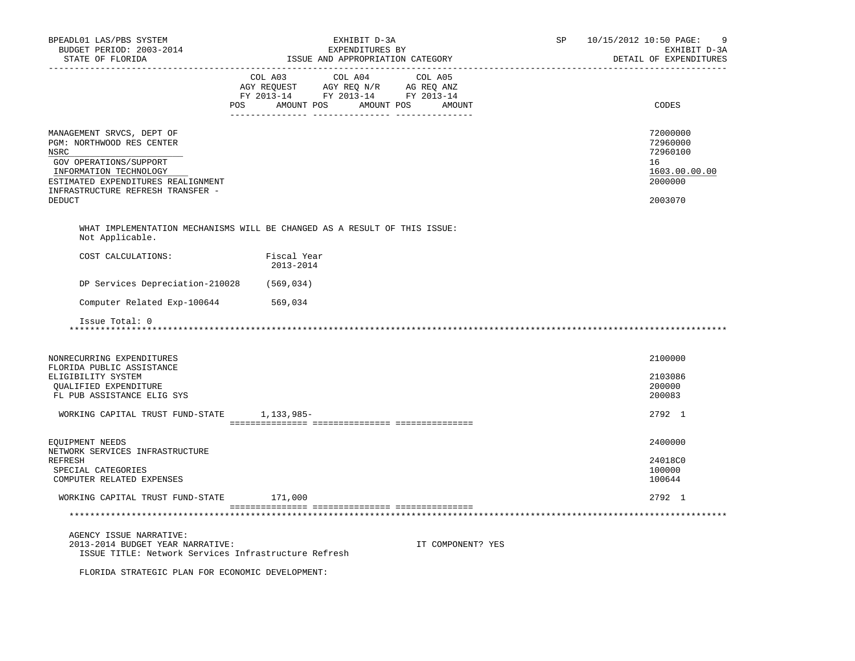| BPEADL01 LAS/PBS SYSTEM<br>BUDGET PERIOD: 2003-2014<br>STATE OF FLORIDA                                                                                                                                        |                                                                                                                          | EXHIBIT D-3A<br>EXPENDITURES BY<br>ISSUE AND APPROPRIATION CATEGORY | <b>SP</b>         | 10/15/2012 10:50 PAGE:<br>DETAIL OF EXPENDITURES | 9<br>EXHIBIT D-3A                                                             |  |
|----------------------------------------------------------------------------------------------------------------------------------------------------------------------------------------------------------------|--------------------------------------------------------------------------------------------------------------------------|---------------------------------------------------------------------|-------------------|--------------------------------------------------|-------------------------------------------------------------------------------|--|
|                                                                                                                                                                                                                | COL A03<br>AGY REQUEST AGY REQ N/R AG REQ ANZ<br>FY 2013-14 FY 2013-14 FY 2013-14<br>AMOUNT POS AMOUNT POS AMOUNT<br>POS | COL A04 COL A05                                                     |                   |                                                  | CODES                                                                         |  |
| MANAGEMENT SRVCS, DEPT OF<br>PGM: NORTHWOOD RES CENTER<br>NSRC<br>GOV OPERATIONS/SUPPORT<br>INFORMATION TECHNOLOGY<br>ESTIMATED EXPENDITURES REALIGNMENT<br>INFRASTRUCTURE REFRESH TRANSFER -<br><b>DEDUCT</b> |                                                                                                                          |                                                                     |                   |                                                  | 72000000<br>72960000<br>72960100<br>16<br>1603.00.00.00<br>2000000<br>2003070 |  |
|                                                                                                                                                                                                                |                                                                                                                          |                                                                     |                   |                                                  |                                                                               |  |
| WHAT IMPLEMENTATION MECHANISMS WILL BE CHANGED AS A RESULT OF THIS ISSUE:<br>Not Applicable.                                                                                                                   |                                                                                                                          |                                                                     |                   |                                                  |                                                                               |  |
| COST CALCULATIONS:                                                                                                                                                                                             | Fiscal Year<br>2013-2014                                                                                                 |                                                                     |                   |                                                  |                                                                               |  |
| DP Services Depreciation-210028                                                                                                                                                                                | (569, 034)                                                                                                               |                                                                     |                   |                                                  |                                                                               |  |
| Computer Related Exp-100644                                                                                                                                                                                    | 569,034                                                                                                                  |                                                                     |                   |                                                  |                                                                               |  |
| Issue Total: 0                                                                                                                                                                                                 |                                                                                                                          |                                                                     |                   |                                                  |                                                                               |  |
| NONRECURRING EXPENDITURES<br>FLORIDA PUBLIC ASSISTANCE<br>ELIGIBILITY SYSTEM<br>QUALIFIED EXPENDITURE<br>FL PUB ASSISTANCE ELIG SYS                                                                            |                                                                                                                          |                                                                     |                   |                                                  | 2100000<br>2103086<br>200000<br>200083                                        |  |
| WORKING CAPITAL TRUST FUND-STATE 1,133,985-                                                                                                                                                                    |                                                                                                                          |                                                                     |                   |                                                  | 2792 1                                                                        |  |
|                                                                                                                                                                                                                |                                                                                                                          |                                                                     |                   |                                                  |                                                                               |  |
| EQUIPMENT NEEDS<br>NETWORK SERVICES INFRASTRUCTURE<br>REFRESH<br>SPECIAL CATEGORIES<br>COMPUTER RELATED EXPENSES                                                                                               |                                                                                                                          |                                                                     |                   |                                                  | 2400000<br>24018C0<br>100000<br>100644                                        |  |
| WORKING CAPITAL TRUST FUND-STATE 171,000                                                                                                                                                                       |                                                                                                                          |                                                                     |                   |                                                  | 2792 1                                                                        |  |
|                                                                                                                                                                                                                |                                                                                                                          |                                                                     |                   |                                                  |                                                                               |  |
| AGENCY ISSUE NARRATIVE:<br>2013-2014 BUDGET YEAR NARRATIVE:<br>ISSUE TITLE: Network Services Infrastructure Refresh                                                                                            |                                                                                                                          |                                                                     | IT COMPONENT? YES |                                                  |                                                                               |  |
| FLORIDA STRATEGIC PLAN FOR ECONOMIC DEVELOPMENT:                                                                                                                                                               |                                                                                                                          |                                                                     |                   |                                                  |                                                                               |  |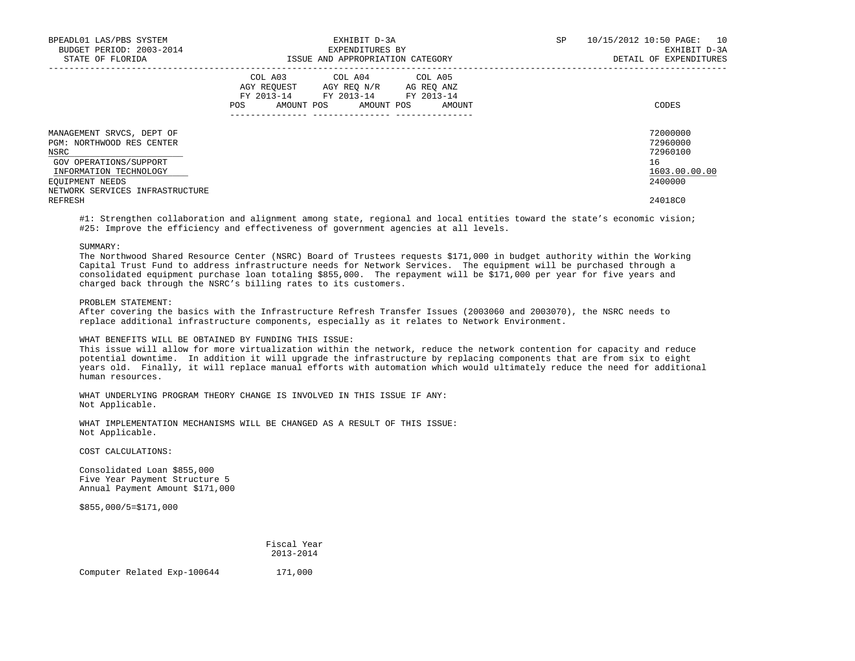| BPEADL01 LAS/PBS SYSTEM<br>BUDGET PERIOD: 2003-2014<br>STATE OF FLORIDA                                                                                                  | EXHIBIT D-3A<br>EXPENDITURES BY<br>ISSUE AND APPROPRIATION CATEGORY                                                                                            | 10/15/2012 10:50 PAGE: 10<br>SP<br>EXHIBIT D-3A<br>DETAIL OF EXPENDITURES |
|--------------------------------------------------------------------------------------------------------------------------------------------------------------------------|----------------------------------------------------------------------------------------------------------------------------------------------------------------|---------------------------------------------------------------------------|
|                                                                                                                                                                          | COL A03 COL A04 COL A05<br>AGY REQUEST AGY REO N/R AG REO ANZ<br>FY 2013-14 FY 2013-14 FY 2013-14<br>POS<br>AMOUNT POS AMOUNT POS<br>AMOUNT<br>_______________ | CODES                                                                     |
| MANAGEMENT SRVCS, DEPT OF<br>PGM: NORTHWOOD RES CENTER<br>NSRC<br>GOV OPERATIONS/SUPPORT<br>INFORMATION TECHNOLOGY<br>EOUIPMENT NEEDS<br>NETWORK SERVICES INFRASTRUCTURE |                                                                                                                                                                | 72000000<br>72960000<br>72960100<br>16<br>1603.00.00.00<br>2400000        |
| REFRESH                                                                                                                                                                  |                                                                                                                                                                | 24018C0                                                                   |

#1: Strengthen collaboration and alignment among state, regional and local entities toward the state's economic vision; #25: Improve the efficiency and effectiveness of government agencies at all levels.

SUMMARY:

 The Northwood Shared Resource Center (NSRC) Board of Trustees requests \$171,000 in budget authority within the Working Capital Trust Fund to address infrastructure needs for Network Services. The equipment will be purchased through a consolidated equipment purchase loan totaling \$855,000. The repayment will be \$171,000 per year for five years and charged back through the NSRC's billing rates to its customers.

PROBLEM STATEMENT:

 After covering the basics with the Infrastructure Refresh Transfer Issues (2003060 and 2003070), the NSRC needs to replace additional infrastructure components, especially as it relates to Network Environment.

## WHAT BENEFITS WILL BE OBTAINED BY FUNDING THIS ISSUE:

 This issue will allow for more virtualization within the network, reduce the network contention for capacity and reduce potential downtime. In addition it will upgrade the infrastructure by replacing components that are from six to eight years old. Finally, it will replace manual efforts with automation which would ultimately reduce the need for additional human resources.

 WHAT UNDERLYING PROGRAM THEORY CHANGE IS INVOLVED IN THIS ISSUE IF ANY: Not Applicable.

 WHAT IMPLEMENTATION MECHANISMS WILL BE CHANGED AS A RESULT OF THIS ISSUE: Not Applicable.

COST CALCULATIONS:

 Consolidated Loan \$855,000 Five Year Payment Structure 5 Annual Payment Amount \$171,000

\$855,000/5=\$171,000

 Fiscal Year 2013-2014

Computer Related Exp-100644 171,000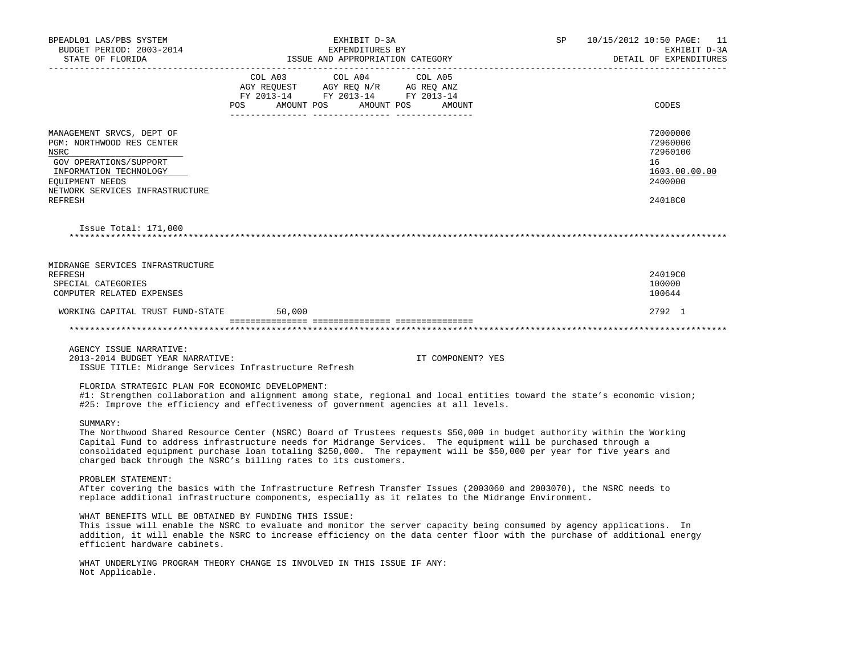| BPEADL01 LAS/PBS SYSTEM<br>BUDGET PERIOD: 2003-2014<br>STATE OF FLORIDA                                                                                                                                                                                                                                                                                                                                                                       | EXHIBIT D-3A<br>EXPENDITURES BY<br>ISSUE AND APPROPRIATION CATEGORY |                                                                                           |                   | SP | 10/15/2012 10:50 PAGE: 11<br>EXHIBIT D-3A<br>DETAIL OF EXPENDITURES           |
|-----------------------------------------------------------------------------------------------------------------------------------------------------------------------------------------------------------------------------------------------------------------------------------------------------------------------------------------------------------------------------------------------------------------------------------------------|---------------------------------------------------------------------|-------------------------------------------------------------------------------------------|-------------------|----|-------------------------------------------------------------------------------|
|                                                                                                                                                                                                                                                                                                                                                                                                                                               | POS AMOUNT POS AMOUNT POS AMOUNT                                    | COL A03 COL A04<br>AGY REQUEST AGY REQ N/R AG REQ ANZ<br>FY 2013-14 FY 2013-14 FY 2013-14 | COL A05           |    | CODES                                                                         |
|                                                                                                                                                                                                                                                                                                                                                                                                                                               |                                                                     |                                                                                           |                   |    |                                                                               |
| MANAGEMENT SRVCS, DEPT OF<br>PGM: NORTHWOOD RES CENTER<br>NSRC<br>GOV OPERATIONS/SUPPORT<br>INFORMATION TECHNOLOGY<br>EQUIPMENT NEEDS<br>NETWORK SERVICES INFRASTRUCTURE<br><b>REFRESH</b>                                                                                                                                                                                                                                                    |                                                                     |                                                                                           |                   |    | 72000000<br>72960000<br>72960100<br>16<br>1603.00.00.00<br>2400000<br>24018C0 |
| Issue Total: $171,000$                                                                                                                                                                                                                                                                                                                                                                                                                        |                                                                     |                                                                                           |                   |    |                                                                               |
| MIDRANGE SERVICES INFRASTRUCTURE<br>REFRESH<br>SPECIAL CATEGORIES<br>COMPUTER RELATED EXPENSES                                                                                                                                                                                                                                                                                                                                                |                                                                     |                                                                                           |                   |    | 24019C0<br>100000<br>100644                                                   |
| WORKING CAPITAL TRUST FUND-STATE                                                                                                                                                                                                                                                                                                                                                                                                              | 50,000                                                              |                                                                                           |                   |    | 2792 1                                                                        |
|                                                                                                                                                                                                                                                                                                                                                                                                                                               |                                                                     |                                                                                           |                   |    |                                                                               |
|                                                                                                                                                                                                                                                                                                                                                                                                                                               |                                                                     |                                                                                           |                   |    |                                                                               |
| AGENCY ISSUE NARRATIVE:<br>2013-2014 BUDGET YEAR NARRATIVE:<br>ISSUE TITLE: Midrange Services Infrastructure Refresh                                                                                                                                                                                                                                                                                                                          |                                                                     |                                                                                           | IT COMPONENT? YES |    |                                                                               |
| FLORIDA STRATEGIC PLAN FOR ECONOMIC DEVELOPMENT:<br>#1: Strengthen collaboration and alignment among state, regional and local entities toward the state's economic vision;<br>#25: Improve the efficiency and effectiveness of government agencies at all levels.                                                                                                                                                                            |                                                                     |                                                                                           |                   |    |                                                                               |
| SUMMARY:<br>The Northwood Shared Resource Center (NSRC) Board of Trustees requests \$50,000 in budget authority within the Working<br>Capital Fund to address infrastructure needs for Midrange Services. The equipment will be purchased through a<br>consolidated equipment purchase loan totaling \$250,000. The repayment will be \$50,000 per year for five years and<br>charged back through the NSRC's billing rates to its customers. |                                                                     |                                                                                           |                   |    |                                                                               |
| PROBLEM STATEMENT:<br>After covering the basics with the Infrastructure Refresh Transfer Issues (2003060 and 2003070), the NSRC needs to<br>replace additional infrastructure components, especially as it relates to the Midrange Environment.                                                                                                                                                                                               |                                                                     |                                                                                           |                   |    |                                                                               |
| WHAT BENEFITS WILL BE OBTAINED BY FUNDING THIS ISSUE:<br>This issue will enable the NSRC to evaluate and monitor the server capacity being consumed by agency applications. In<br>addition, it will enable the NSRC to increase efficiency on the data center floor with the purchase of additional energy<br>efficient hardware cabinets.                                                                                                    |                                                                     |                                                                                           |                   |    |                                                                               |
| WHAT UNDERLYING PROGRAM THEORY CHANGE IS INVOLVED IN THIS ISSUE IF ANY:<br>Not Applicable.                                                                                                                                                                                                                                                                                                                                                    |                                                                     |                                                                                           |                   |    |                                                                               |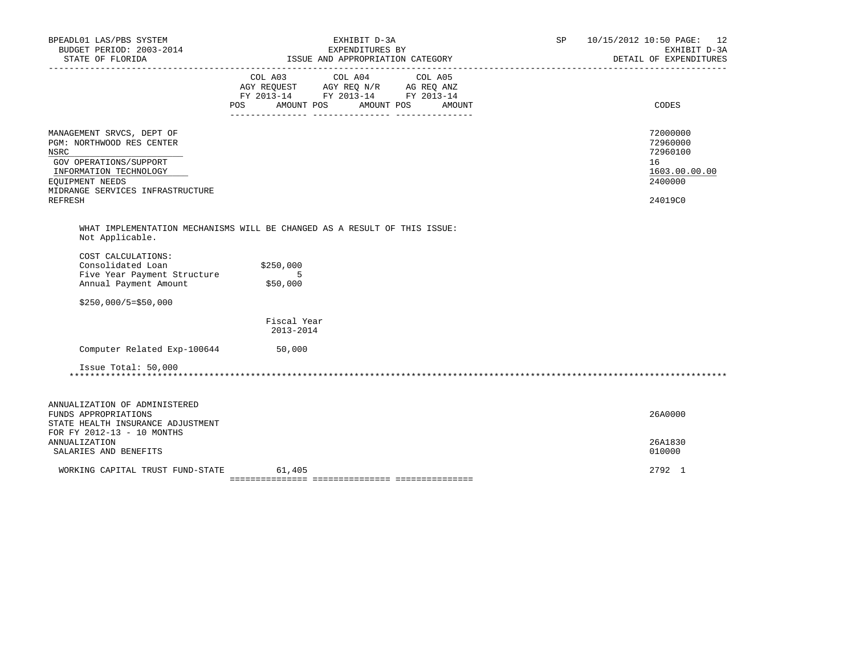| BPEADL01 LAS/PBS SYSTEM<br>BUDGET PERIOD: 2003-2014                                                                                                                                                | EXHIBIT D-3A<br>EXPENDITURES BY                                           | SP<br>10/15/2012 10:50 PAGE: 12<br>EXHIBIT D-3A<br>DETAIL OF EXPENDITURES     |
|----------------------------------------------------------------------------------------------------------------------------------------------------------------------------------------------------|---------------------------------------------------------------------------|-------------------------------------------------------------------------------|
|                                                                                                                                                                                                    | FY 2013-14 FY 2013-14 FY 2013-14<br>POS AMOUNT POS AMOUNT POS<br>AMOUNT   | CODES                                                                         |
| MANAGEMENT SRVCS, DEPT OF<br>PGM: NORTHWOOD RES CENTER<br><b>NSRC</b><br>GOV OPERATIONS/SUPPORT<br>INFORMATION TECHNOLOGY<br><b>EOUIPMENT NEEDS</b><br>MIDRANGE SERVICES INFRASTRUCTURE<br>REFRESH |                                                                           | 72000000<br>72960000<br>72960100<br>16<br>1603.00.00.00<br>2400000<br>24019C0 |
| Not Applicable.                                                                                                                                                                                    | WHAT IMPLEMENTATION MECHANISMS WILL BE CHANGED AS A RESULT OF THIS ISSUE: |                                                                               |
| COST CALCULATIONS:<br>Consolidated Loan<br>Five Year Payment Structure<br>Annual Payment Amount                                                                                                    | \$250,000<br>5<br>\$50,000                                                |                                                                               |
| $$250,000/5=$50,000$                                                                                                                                                                               |                                                                           |                                                                               |
|                                                                                                                                                                                                    | Fiscal Year<br>2013-2014                                                  |                                                                               |
| Computer Related Exp-100644 50,000                                                                                                                                                                 |                                                                           |                                                                               |
| Issue Total: 50,000                                                                                                                                                                                |                                                                           |                                                                               |
|                                                                                                                                                                                                    |                                                                           |                                                                               |
| ANNUALIZATION OF ADMINISTERED<br>FUNDS APPROPRIATIONS<br>STATE HEALTH INSURANCE ADJUSTMENT                                                                                                         |                                                                           | 26A0000                                                                       |
| FOR FY 2012-13 - 10 MONTHS<br><b>ANNUALIZATION</b><br>SALARIES AND BENEFITS                                                                                                                        |                                                                           | 26A1830<br>010000                                                             |
| WORKING CAPITAL TRUST FUND-STATE                                                                                                                                                                   | 61,405                                                                    | 2792 1                                                                        |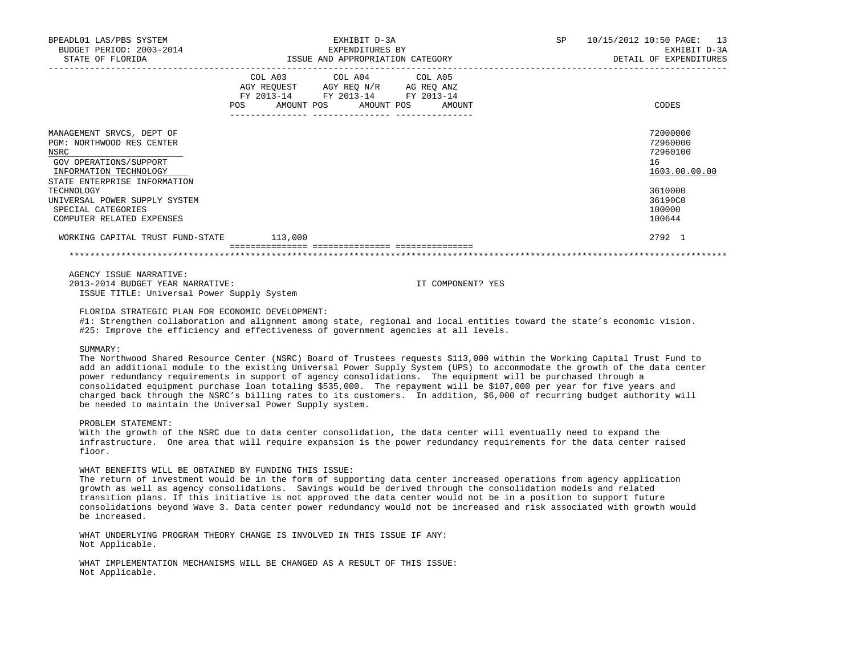| BPEADL01 LAS/PBS SYSTEM<br>BUDGET PERIOD: 2003-2014<br>STATE OF FLORIDA                                                        | EXHIBIT D-3A<br>EXPENDITURES BY<br>ISSUE AND APPROPRIATION CATEGORY                                                                                     | <b>SP</b> | 10/15/2012 10:50 PAGE: 13<br>EXHIBIT D-3A<br>DETAIL OF EXPENDITURES |
|--------------------------------------------------------------------------------------------------------------------------------|---------------------------------------------------------------------------------------------------------------------------------------------------------|-----------|---------------------------------------------------------------------|
|                                                                                                                                | COL A03<br>COL A04 COL A05<br>AGY REOUEST AGY REO N/R<br>AG REO ANZ<br>FY 2013-14<br>FY 2013-14 FY 2013-14<br>AMOUNT POS<br>POS<br>AMOUNT POS<br>AMOUNT |           | CODES                                                               |
| MANAGEMENT SRVCS, DEPT OF<br>PGM: NORTHWOOD RES CENTER<br>NSRC<br>GOV OPERATIONS/SUPPORT<br>INFORMATION TECHNOLOGY             |                                                                                                                                                         |           | 72000000<br>72960000<br>72960100<br>16<br>1603.00.00.00             |
| STATE ENTERPRISE INFORMATION<br>TECHNOLOGY<br>UNIVERSAL POWER SUPPLY SYSTEM<br>SPECIAL CATEGORIES<br>COMPUTER RELATED EXPENSES |                                                                                                                                                         |           | 3610000<br>36190C0<br>100000<br>100644                              |
| WORKING CAPITAL TRUST FUND-STATE                                                                                               | 113,000                                                                                                                                                 |           | 2792 1                                                              |

 AGENCY ISSUE NARRATIVE: 2013-2014 BUDGET YEAR NARRATIVE: IT COMPONENT? YES ISSUE TITLE: Universal Power Supply System

FLORIDA STRATEGIC PLAN FOR ECONOMIC DEVELOPMENT:

 #1: Strengthen collaboration and alignment among state, regional and local entities toward the state's economic vision. #25: Improve the efficiency and effectiveness of government agencies at all levels.

### SUMMARY:

 The Northwood Shared Resource Center (NSRC) Board of Trustees requests \$113,000 within the Working Capital Trust Fund to add an additional module to the existing Universal Power Supply System (UPS) to accommodate the growth of the data center power redundancy requirements in support of agency consolidations. The equipment will be purchased through a consolidated equipment purchase loan totaling \$535,000. The repayment will be \$107,000 per year for five years and charged back through the NSRC's billing rates to its customers. In addition, \$6,000 of recurring budget authority will be needed to maintain the Universal Power Supply system.

#### PROBLEM STATEMENT:

 With the growth of the NSRC due to data center consolidation, the data center will eventually need to expand the infrastructure. One area that will require expansion is the power redundancy requirements for the data center raised floor.

## WHAT BENEFITS WILL BE OBTAINED BY FUNDING THIS ISSUE:

 The return of investment would be in the form of supporting data center increased operations from agency application growth as well as agency consolidations. Savings would be derived through the consolidation models and related transition plans. If this initiative is not approved the data center would not be in a position to support future consolidations beyond Wave 3. Data center power redundancy would not be increased and risk associated with growth would be increased.

 WHAT UNDERLYING PROGRAM THEORY CHANGE IS INVOLVED IN THIS ISSUE IF ANY: Not Applicable.

 WHAT IMPLEMENTATION MECHANISMS WILL BE CHANGED AS A RESULT OF THIS ISSUE: Not Applicable.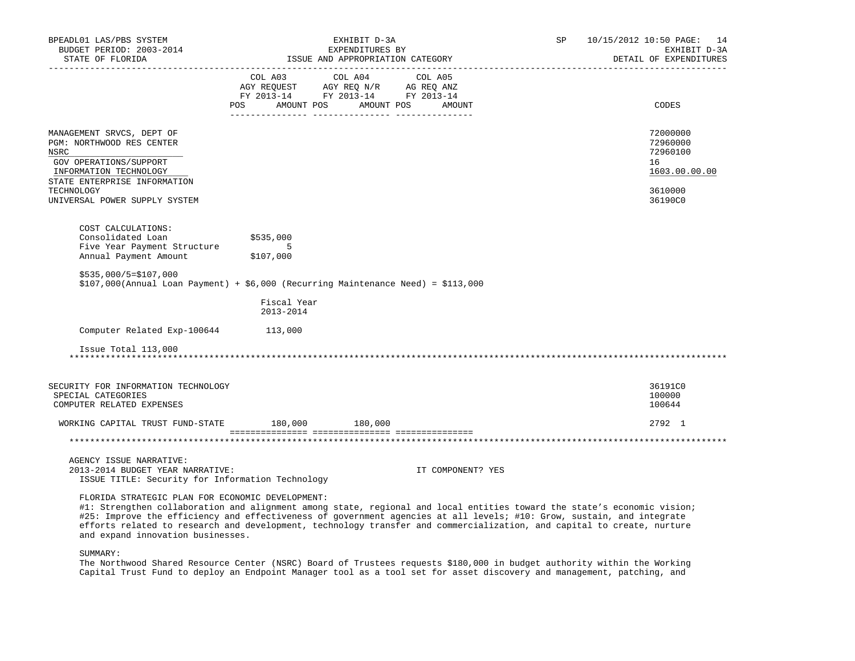| BPEADL01 LAS/PBS SYSTEM<br>BUDGET PERIOD: 2003-2014<br>STATE OF FLORIDA<br>______________________                                                                           |                                                                                                     | EXHIBIT D-3A<br>EXPENDITURES BY<br>ISSUE AND APPROPRIATION CATEGORY | SP | 10/15/2012 10:50 PAGE: 14<br>EXHIBIT D-3A<br>DETAIL OF EXPENDITURES |
|-----------------------------------------------------------------------------------------------------------------------------------------------------------------------------|-----------------------------------------------------------------------------------------------------|---------------------------------------------------------------------|----|---------------------------------------------------------------------|
|                                                                                                                                                                             | AGY REQUEST AGY REQ N/R AG REQ ANZ<br>FY 2013-14 FY 2013-14 FY 2013-14<br>POS AMOUNT POS AMOUNT POS | COL A03 COL A04 COL A05<br>AMOUNT                                   |    | CODES                                                               |
| MANAGEMENT SRVCS, DEPT OF<br>PGM: NORTHWOOD RES CENTER<br>NSRC<br>GOV OPERATIONS/SUPPORT<br>INFORMATION TECHNOLOGY<br>STATE ENTERPRISE INFORMATION                          |                                                                                                     |                                                                     |    | 72000000<br>72960000<br>72960100<br>16<br>1603.00.00.00             |
| TECHNOLOGY<br>UNIVERSAL POWER SUPPLY SYSTEM                                                                                                                                 |                                                                                                     |                                                                     |    | 3610000<br>36190C0                                                  |
| COST CALCULATIONS:<br>Consolidated Loan<br>Five Year Payment Structure<br>Annual Payment Amount<br>Annual Payment Amount                                                    | \$535,000<br>$5^{\circ}$<br>\$107,000                                                               |                                                                     |    |                                                                     |
| $$535,000/5=$107,000$<br>$$107,000$ (Annual Loan Payment) + $$6,000$ (Recurring Maintenance Need) = $$113,000$                                                              |                                                                                                     |                                                                     |    |                                                                     |
|                                                                                                                                                                             | Fiscal Year<br>2013-2014                                                                            |                                                                     |    |                                                                     |
| Computer Related Exp-100644 113,000                                                                                                                                         |                                                                                                     |                                                                     |    |                                                                     |
| Issue Total 113,000                                                                                                                                                         |                                                                                                     |                                                                     |    |                                                                     |
| SECURITY FOR INFORMATION TECHNOLOGY<br>SPECIAL CATEGORIES<br>COMPUTER RELATED EXPENSES                                                                                      |                                                                                                     |                                                                     |    | 36191C0<br>100000<br>100644                                         |
| WORKING CAPITAL TRUST FUND-STATE 180,000 180,000                                                                                                                            |                                                                                                     |                                                                     |    | 2792 1                                                              |
|                                                                                                                                                                             |                                                                                                     |                                                                     |    |                                                                     |
| AGENCY ISSUE NARRATIVE:<br>2013-2014 BUDGET YEAR NARRATIVE:<br>ISSUE TITLE: Security for Information Technology                                                             |                                                                                                     | IT COMPONENT? YES                                                   |    |                                                                     |
| FLORIDA STRATEGIC PLAN FOR ECONOMIC DEVELOPMENT:<br>#1: Strengthen collaboration and alignment among state, regional and local entities toward the state's economic vision; |                                                                                                     |                                                                     |    |                                                                     |

 #25: Improve the efficiency and effectiveness of government agencies at all levels; #10: Grow, sustain, and integrate efforts related to research and development, technology transfer and commercialization, and capital to create, nurture and expand innovation businesses.

SUMMARY:

 The Northwood Shared Resource Center (NSRC) Board of Trustees requests \$180,000 in budget authority within the Working Capital Trust Fund to deploy an Endpoint Manager tool as a tool set for asset discovery and management, patching, and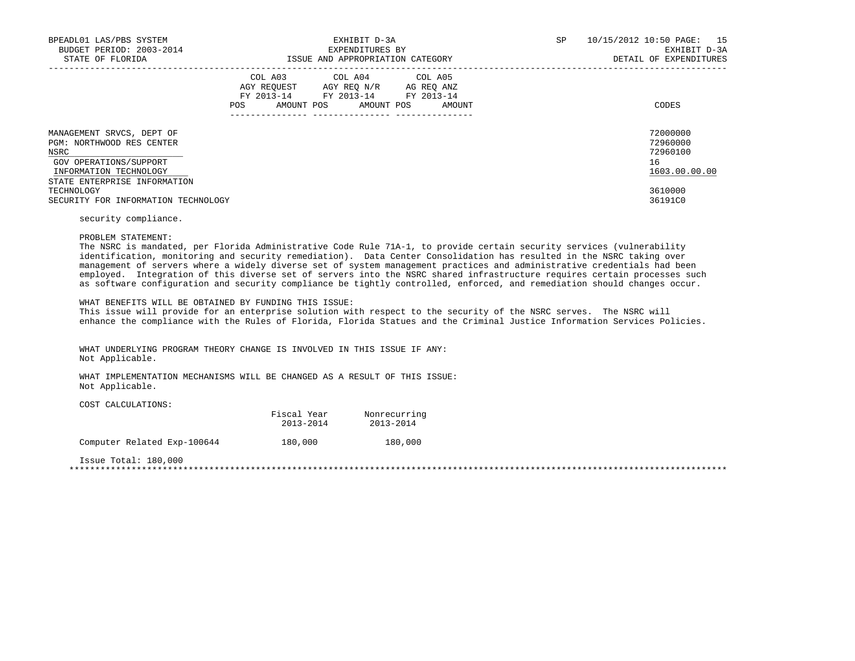| BPEADL01 LAS/PBS SYSTEM<br>BUDGET PERIOD: 2003-2014<br>STATE OF FLORIDA                                                                                              | EXHIBIT D-3A<br>EXPENDITURES BY<br>ISSUE AND APPROPRIATION CATEGORY |                                                                                                                                   |  | SP | 10/15/2012 10:50 PAGE: 15<br>EXHIBIT D-3A<br>DETAIL OF EXPENDITURES |
|----------------------------------------------------------------------------------------------------------------------------------------------------------------------|---------------------------------------------------------------------|-----------------------------------------------------------------------------------------------------------------------------------|--|----|---------------------------------------------------------------------|
|                                                                                                                                                                      | POS                                                                 | COL A03 COL A04 COL A05<br>AGY REOUEST AGY REO N/R AG REO ANZ<br>FY 2013-14 FY 2013-14 FY 2013-14<br>AMOUNT POS AMOUNT POS AMOUNT |  |    | CODES                                                               |
| MANAGEMENT SRVCS, DEPT OF<br>PGM: NORTHWOOD RES CENTER<br>NSRC<br>GOV OPERATIONS/SUPPORT<br>INFORMATION TECHNOLOGY<br>STATE ENTERPRISE INFORMATION                   |                                                                     |                                                                                                                                   |  |    | 72000000<br>72960000<br>72960100<br>16<br>1603.00.00.00             |
| TECHNOLOGY<br>SECURITY FOR INFORMATION TECHNOLOGY<br>the contract of the contract of the contract of the contract of the contract of the contract of the contract of |                                                                     |                                                                                                                                   |  |    | 3610000<br>36191C0                                                  |

security compliance.

PROBLEM STATEMENT:

 The NSRC is mandated, per Florida Administrative Code Rule 71A-1, to provide certain security services (vulnerability identification, monitoring and security remediation). Data Center Consolidation has resulted in the NSRC taking over management of servers where a widely diverse set of system management practices and administrative credentials had been employed. Integration of this diverse set of servers into the NSRC shared infrastructure requires certain processes such as software configuration and security compliance be tightly controlled, enforced, and remediation should changes occur.

 This issue will provide for an enterprise solution with respect to the security of the NSRC serves. The NSRC will enhance the compliance with the Rules of Florida, Florida Statues and the Criminal Justice Information Services Policies.

 WHAT UNDERLYING PROGRAM THEORY CHANGE IS INVOLVED IN THIS ISSUE IF ANY: Not Applicable.

 WHAT IMPLEMENTATION MECHANISMS WILL BE CHANGED AS A RESULT OF THIS ISSUE: Not Applicable.

COST CALCULATIONS:

| Fiscal Year | Nonrecurring |
|-------------|--------------|
| 2013-2014   | 2013-2014    |
|             |              |

Computer Related Exp-100644 180,000 180,000

Issue Total: 180,000

\*\*\*\*\*\*\*\*\*\*\*\*\*\*\*\*\*\*\*\*\*\*\*\*\*\*\*\*\*\*\*\*\*\*\*\*\*\*\*\*\*\*\*\*\*\*\*\*\*\*\*\*\*\*\*\*\*\*\*\*\*\*\*\*\*\*\*\*\*\*\*\*\*\*\*\*\*\*\*\*\*\*\*\*\*\*\*\*\*\*\*\*\*\*\*\*\*\*\*\*\*\*\*\*\*\*\*\*\*\*\*\*\*\*\*\*\*\*\*\*\*\*\*\*\*\*\*

WHAT BENEFITS WILL BE OBTAINED BY FUNDING THIS ISSUE: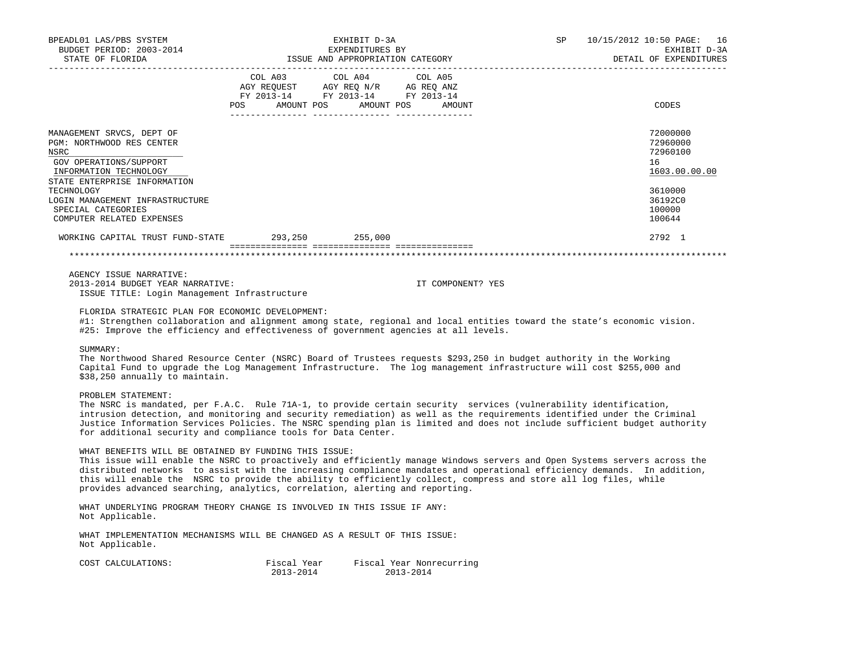| BPEADL01 LAS/PBS SYSTEM<br>BUDGET PERIOD: 2003-2014<br>STATE OF FLORIDA                                                                                                                                                                                | EXHIBIT D-3A<br>EXPENDITURES BY<br>ISSUE AND APPROPRIATION CATEGORY |                                                                                                                            |                   | SP | 10/15/2012 10:50 PAGE: 16<br>EXHIBIT D-3A<br>DETAIL OF EXPENDITURES                               |
|--------------------------------------------------------------------------------------------------------------------------------------------------------------------------------------------------------------------------------------------------------|---------------------------------------------------------------------|----------------------------------------------------------------------------------------------------------------------------|-------------------|----|---------------------------------------------------------------------------------------------------|
|                                                                                                                                                                                                                                                        | POS                                                                 | COL A03 COL A04 COL A05<br>AGY REQUEST AGY REO N/R AG REO ANZ<br>FY 2013-14 FY 2013-14 FY 2013-14<br>AMOUNT POS AMOUNT POS | AMOUNT            |    | CODES                                                                                             |
| MANAGEMENT SRVCS, DEPT OF<br>PGM: NORTHWOOD RES CENTER<br>NSRC<br>GOV OPERATIONS/SUPPORT<br>INFORMATION TECHNOLOGY<br>STATE ENTERPRISE INFORMATION<br>TECHNOLOGY<br>LOGIN MANAGEMENT INFRASTRUCTURE<br>SPECIAL CATEGORIES<br>COMPUTER RELATED EXPENSES |                                                                     |                                                                                                                            |                   |    | 72000000<br>72960000<br>72960100<br>16<br>1603.00.00.00<br>3610000<br>36192C0<br>100000<br>100644 |
| WORKING CAPITAL TRUST FUND-STATE 293,250 255,000                                                                                                                                                                                                       |                                                                     |                                                                                                                            |                   |    | 2792 1                                                                                            |
|                                                                                                                                                                                                                                                        |                                                                     |                                                                                                                            |                   |    |                                                                                                   |
| AGENCY ISSUE NARRATIVE:<br>2013-2014 BUDGET YEAR NARRATIVE:<br>ISSUE TITLE: Login Management Infrastructure                                                                                                                                            |                                                                     |                                                                                                                            | IT COMPONENT? YES |    |                                                                                                   |

FLORIDA STRATEGIC PLAN FOR ECONOMIC DEVELOPMENT:

 #1: Strengthen collaboration and alignment among state, regional and local entities toward the state's economic vision. #25: Improve the efficiency and effectiveness of government agencies at all levels.

#### SUMMARY:

 The Northwood Shared Resource Center (NSRC) Board of Trustees requests \$293,250 in budget authority in the Working Capital Fund to upgrade the Log Management Infrastructure. The log management infrastructure will cost \$255,000 and \$38,250 annually to maintain.

## PROBLEM STATEMENT:

 The NSRC is mandated, per F.A.C. Rule 71A-1, to provide certain security services (vulnerability identification, intrusion detection, and monitoring and security remediation) as well as the requirements identified under the Criminal Justice Information Services Policies. The NSRC spending plan is limited and does not include sufficient budget authority for additional security and compliance tools for Data Center.

### WHAT BENEFITS WILL BE OBTAINED BY FUNDING THIS ISSUE:

 This issue will enable the NSRC to proactively and efficiently manage Windows servers and Open Systems servers across the distributed networks to assist with the increasing compliance mandates and operational efficiency demands. In addition, this will enable the NSRC to provide the ability to efficiently collect, compress and store all log files, while provides advanced searching, analytics, correlation, alerting and reporting.

 WHAT UNDERLYING PROGRAM THEORY CHANGE IS INVOLVED IN THIS ISSUE IF ANY: Not Applicable.

 WHAT IMPLEMENTATION MECHANISMS WILL BE CHANGED AS A RESULT OF THIS ISSUE: Not Applicable.

| COST CALCULATIONS: | Fiscal Year | Fiscal Year Nonrecurring |
|--------------------|-------------|--------------------------|
|                    | 2013-2014   | 2013-2014                |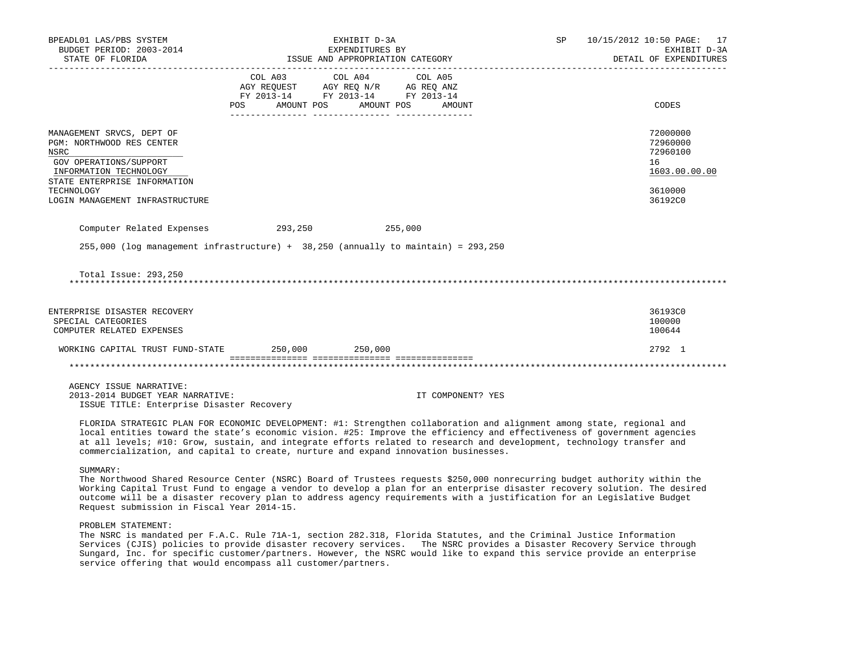| BPEADL01 LAS/PBS SYSTEM<br>BUDGET PERIOD: 2003-2014                                                                                                              | EXHIBIT D-3A<br>EXPENDITURES BY                                                                                                                                                                                                                             |  |                   | SP 10/15/2012 10:50 PAGE: 17<br>EXHIBIT D-3A            |
|------------------------------------------------------------------------------------------------------------------------------------------------------------------|-------------------------------------------------------------------------------------------------------------------------------------------------------------------------------------------------------------------------------------------------------------|--|-------------------|---------------------------------------------------------|
| STATE OF FLORIDA                                                                                                                                                 | ISSUE AND APPROPRIATION CATEGORY                                                                                                                                                                                                                            |  |                   | DETAIL OF EXPENDITURES                                  |
|                                                                                                                                                                  | COL A03 COL A04 COL A05<br>$\begin{tabular}{lllllll} AGY & \texttt{REQUEST} & \texttt{AGY} & \texttt{REG} & \texttt{N/R} & \texttt{AG} & \texttt{REG} & \texttt{ANZ} \end{tabular}$<br>FY 2013-14 FY 2013-14 FY 2013-14<br>POS AMOUNT POS AMOUNT POS AMOUNT |  |                   | CODES                                                   |
| MANAGEMENT SRVCS, DEPT OF<br><b>PGM: NORTHWOOD RES CENTER</b><br><b>NSRC</b><br>GOV OPERATIONS/SUPPORT<br>INFORMATION TECHNOLOGY<br>STATE ENTERPRISE INFORMATION |                                                                                                                                                                                                                                                             |  |                   | 72000000<br>72960000<br>72960100<br>16<br>1603.00.00.00 |
| TECHNOLOGY<br>LOGIN MANAGEMENT INFRASTRUCTURE                                                                                                                    |                                                                                                                                                                                                                                                             |  |                   | 3610000<br>36192C0                                      |
| Computer Related Expenses 293,250 255,000                                                                                                                        |                                                                                                                                                                                                                                                             |  |                   |                                                         |
| $255,000$ (log management infrastructure) + $38,250$ (annually to maintain) = $293,250$                                                                          |                                                                                                                                                                                                                                                             |  |                   |                                                         |
| Total Issue: 293,250                                                                                                                                             |                                                                                                                                                                                                                                                             |  |                   |                                                         |
| ENTERPRISE DISASTER RECOVERY<br>SPECIAL CATEGORIES<br>COMPUTER RELATED EXPENSES                                                                                  |                                                                                                                                                                                                                                                             |  |                   | 36193C0<br>100000<br>100644                             |
| WORKING CAPITAL TRUST FUND-STATE 250,000 250,000                                                                                                                 |                                                                                                                                                                                                                                                             |  |                   | 2792 1                                                  |
|                                                                                                                                                                  |                                                                                                                                                                                                                                                             |  |                   |                                                         |
| AGENCY ISSUE NARRATIVE:<br>2013-2014 BUDGET YEAR NARRATIVE:<br>ISSUE TITLE: Enterprise Disaster Recovery                                                         |                                                                                                                                                                                                                                                             |  | IT COMPONENT? YES |                                                         |

 FLORIDA STRATEGIC PLAN FOR ECONOMIC DEVELOPMENT: #1: Strengthen collaboration and alignment among state, regional and local entities toward the state's economic vision. #25: Improve the efficiency and effectiveness of government agencies at all levels; #10: Grow, sustain, and integrate efforts related to research and development, technology transfer and commercialization, and capital to create, nurture and expand innovation businesses.

SUMMARY:

 The Northwood Shared Resource Center (NSRC) Board of Trustees requests \$250,000 nonrecurring budget authority within the Working Capital Trust Fund to engage a vendor to develop a plan for an enterprise disaster recovery solution. The desired outcome will be a disaster recovery plan to address agency requirements with a justification for an Legislative Budget Request submission in Fiscal Year 2014-15.

PROBLEM STATEMENT:

 The NSRC is mandated per F.A.C. Rule 71A-1, section 282.318, Florida Statutes, and the Criminal Justice Information Services (CJIS) policies to provide disaster recovery services. The NSRC provides a Disaster Recovery Service through Sungard, Inc. for specific customer/partners. However, the NSRC would like to expand this service provide an enterprise service offering that would encompass all customer/partners.